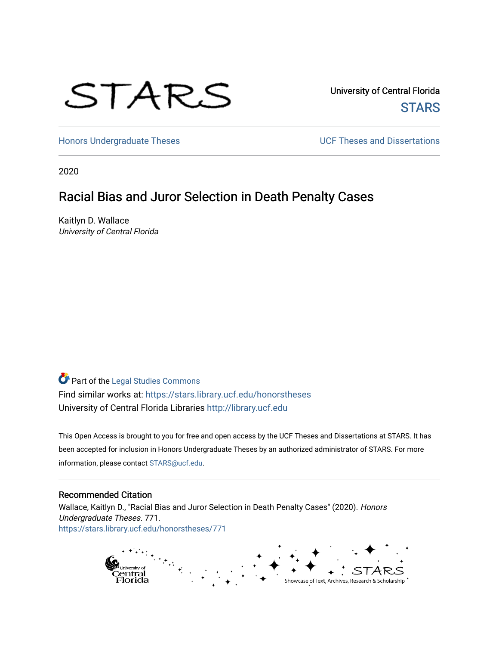# STARS

University of Central Florida **STARS** 

[Honors Undergraduate Theses](https://stars.library.ucf.edu/honorstheses) **Exercise 2 and Serverse** UCF Theses and Dissertations

2020

# Racial Bias and Juror Selection in Death Penalty Cases

Kaitlyn D. Wallace University of Central Florida

# Part of the [Legal Studies Commons](http://network.bepress.com/hgg/discipline/366?utm_source=stars.library.ucf.edu%2Fhonorstheses%2F771&utm_medium=PDF&utm_campaign=PDFCoverPages)

Find similar works at: <https://stars.library.ucf.edu/honorstheses> University of Central Florida Libraries [http://library.ucf.edu](http://library.ucf.edu/) 

This Open Access is brought to you for free and open access by the UCF Theses and Dissertations at STARS. It has been accepted for inclusion in Honors Undergraduate Theses by an authorized administrator of STARS. For more information, please contact [STARS@ucf.edu.](mailto:STARS@ucf.edu)

#### Recommended Citation

Wallace, Kaitlyn D., "Racial Bias and Juror Selection in Death Penalty Cases" (2020). Honors Undergraduate Theses. 771. [https://stars.library.ucf.edu/honorstheses/771](https://stars.library.ucf.edu/honorstheses/771?utm_source=stars.library.ucf.edu%2Fhonorstheses%2F771&utm_medium=PDF&utm_campaign=PDFCoverPages) 

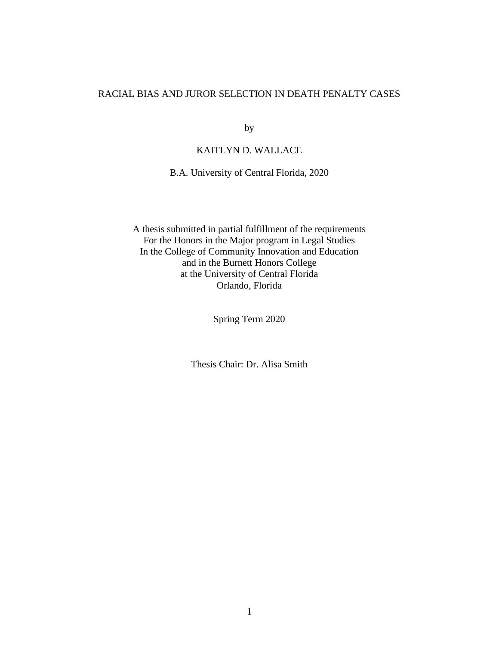### RACIAL BIAS AND JUROR SELECTION IN DEATH PENALTY CASES

by

# KAITLYN D. WALLACE

B.A. University of Central Florida, 2020

A thesis submitted in partial fulfillment of the requirements For the Honors in the Major program in Legal Studies In the College of Community Innovation and Education and in the Burnett Honors College at the University of Central Florida Orlando, Florida

Spring Term 2020

Thesis Chair: Dr. Alisa Smith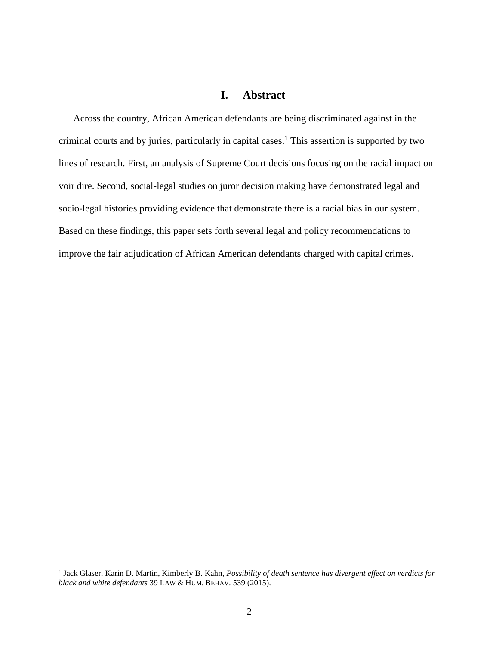# **I. Abstract**

<span id="page-2-0"></span>Across the country, African American defendants are being discriminated against in the criminal courts and by juries, particularly in capital cases. <sup>1</sup> This assertion is supported by two lines of research. First, an analysis of Supreme Court decisions focusing on the racial impact on voir dire. Second, social-legal studies on juror decision making have demonstrated legal and socio-legal histories providing evidence that demonstrate there is a racial bias in our system. Based on these findings, this paper sets forth several legal and policy recommendations to improve the fair adjudication of African American defendants charged with capital crimes.

<sup>&</sup>lt;sup>1</sup> Jack Glaser, Karin D. Martin, Kimberly B. Kahn, *Possibility of death sentence has divergent effect on verdicts for black and white defendants* 39 LAW & HUM. BEHAV. 539 (2015).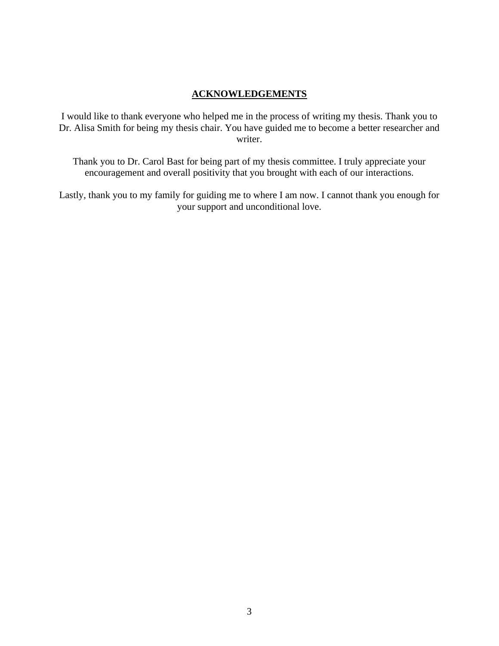# **ACKNOWLEDGEMENTS**

I would like to thank everyone who helped me in the process of writing my thesis. Thank you to Dr. Alisa Smith for being my thesis chair. You have guided me to become a better researcher and writer.

Thank you to Dr. Carol Bast for being part of my thesis committee. I truly appreciate your encouragement and overall positivity that you brought with each of our interactions.

Lastly, thank you to my family for guiding me to where I am now. I cannot thank you enough for your support and unconditional love.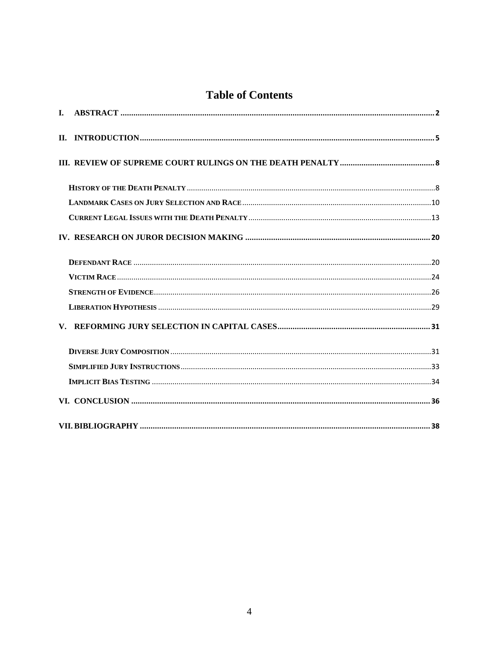# **Table of Contents**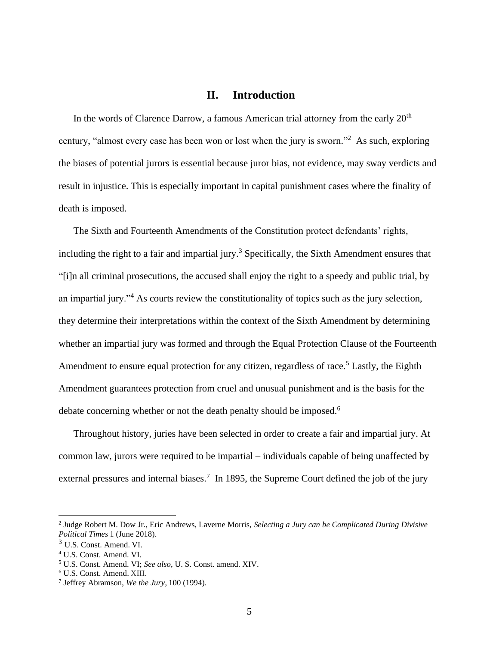## **II. Introduction**

<span id="page-5-0"></span>In the words of Clarence Darrow, a famous American trial attorney from the early  $20<sup>th</sup>$ century, "almost every case has been won or lost when the jury is sworn."<sup>2</sup> As such, exploring the biases of potential jurors is essential because juror bias, not evidence, may sway verdicts and result in injustice. This is especially important in capital punishment cases where the finality of death is imposed.

The Sixth and Fourteenth Amendments of the Constitution protect defendants' rights, including the right to a fair and impartial jury.<sup>3</sup> Specifically, the Sixth Amendment ensures that "[i]n all criminal prosecutions, the accused shall enjoy the right to a speedy and public trial, by an impartial jury."<sup>4</sup> As courts review the constitutionality of topics such as the jury selection, they determine their interpretations within the context of the Sixth Amendment by determining whether an impartial jury was formed and through the Equal Protection Clause of the Fourteenth Amendment to ensure equal protection for any citizen, regardless of race.<sup>5</sup> Lastly, the Eighth Amendment guarantees protection from cruel and unusual punishment and is the basis for the debate concerning whether or not the death penalty should be imposed.<sup>6</sup>

Throughout history, juries have been selected in order to create a fair and impartial jury. At common law, jurors were required to be impartial – individuals capable of being unaffected by external pressures and internal biases.<sup>7</sup> In 1895, the Supreme Court defined the job of the jury

<sup>2</sup> Judge Robert M. Dow Jr., Eric Andrews, Laverne Morris, *Selecting a Jury can be Complicated During Divisive Political Times* 1 (June 2018).

<sup>3</sup> U.S. Const. Amend. VI.

<sup>4</sup> U.S. Const. Amend. VI.

<sup>5</sup> U.S. Const. Amend. VI; *See also*, U. S. Const. amend. XIV.

<sup>6</sup> U.S. Const. Amend. XIII.

<sup>7</sup> Jeffrey Abramson, *We the Jury*, 100 (1994).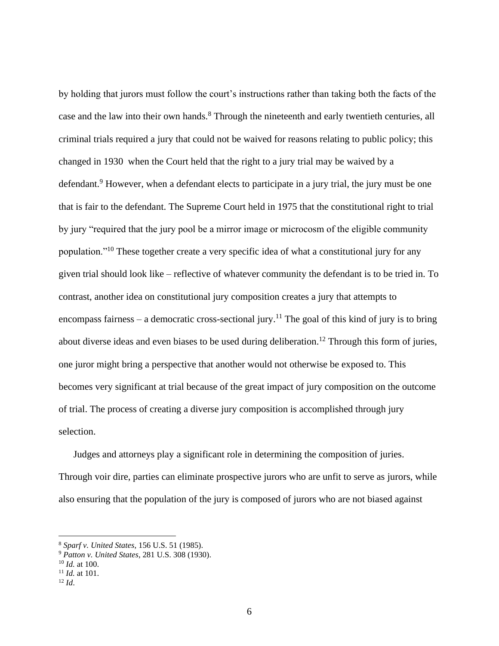by holding that jurors must follow the court's instructions rather than taking both the facts of the case and the law into their own hands.<sup>8</sup> Through the nineteenth and early twentieth centuries, all criminal trials required a jury that could not be waived for reasons relating to public policy; this changed in 1930 when the Court held that the right to a jury trial may be waived by a defendant.<sup>9</sup> However, when a defendant elects to participate in a jury trial, the jury must be one that is fair to the defendant. The Supreme Court held in 1975 that the constitutional right to trial by jury "required that the jury pool be a mirror image or microcosm of the eligible community population."<sup>10</sup> These together create a very specific idea of what a constitutional jury for any given trial should look like – reflective of whatever community the defendant is to be tried in. To contrast, another idea on constitutional jury composition creates a jury that attempts to encompass fairness – a democratic cross-sectional jury.<sup>11</sup> The goal of this kind of jury is to bring about diverse ideas and even biases to be used during deliberation.<sup>12</sup> Through this form of juries, one juror might bring a perspective that another would not otherwise be exposed to. This becomes very significant at trial because of the great impact of jury composition on the outcome of trial. The process of creating a diverse jury composition is accomplished through jury selection.

Judges and attorneys play a significant role in determining the composition of juries. Through voir dire, parties can eliminate prospective jurors who are unfit to serve as jurors, while also ensuring that the population of the jury is composed of jurors who are not biased against

<sup>8</sup> *Sparf v. United States*, 156 U.S. 51 (1985).

<sup>9</sup> *Patton v. United States*, 281 U.S. 308 (1930).

<sup>10</sup> *Id.* at 100.

<sup>11</sup> *Id.* at 101.

<sup>12</sup> *Id*.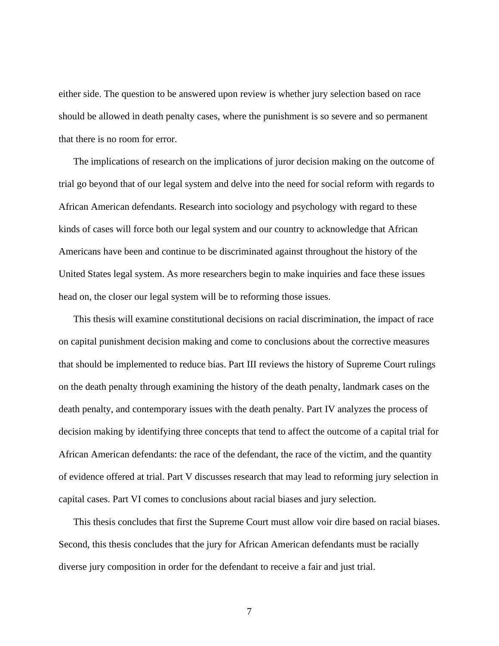either side. The question to be answered upon review is whether jury selection based on race should be allowed in death penalty cases, where the punishment is so severe and so permanent that there is no room for error.

The implications of research on the implications of juror decision making on the outcome of trial go beyond that of our legal system and delve into the need for social reform with regards to African American defendants. Research into sociology and psychology with regard to these kinds of cases will force both our legal system and our country to acknowledge that African Americans have been and continue to be discriminated against throughout the history of the United States legal system. As more researchers begin to make inquiries and face these issues head on, the closer our legal system will be to reforming those issues.

This thesis will examine constitutional decisions on racial discrimination, the impact of race on capital punishment decision making and come to conclusions about the corrective measures that should be implemented to reduce bias. Part III reviews the history of Supreme Court rulings on the death penalty through examining the history of the death penalty, landmark cases on the death penalty, and contemporary issues with the death penalty. Part IV analyzes the process of decision making by identifying three concepts that tend to affect the outcome of a capital trial for African American defendants: the race of the defendant, the race of the victim, and the quantity of evidence offered at trial. Part V discusses research that may lead to reforming jury selection in capital cases. Part VI comes to conclusions about racial biases and jury selection.

This thesis concludes that first the Supreme Court must allow voir dire based on racial biases. Second, this thesis concludes that the jury for African American defendants must be racially diverse jury composition in order for the defendant to receive a fair and just trial.

7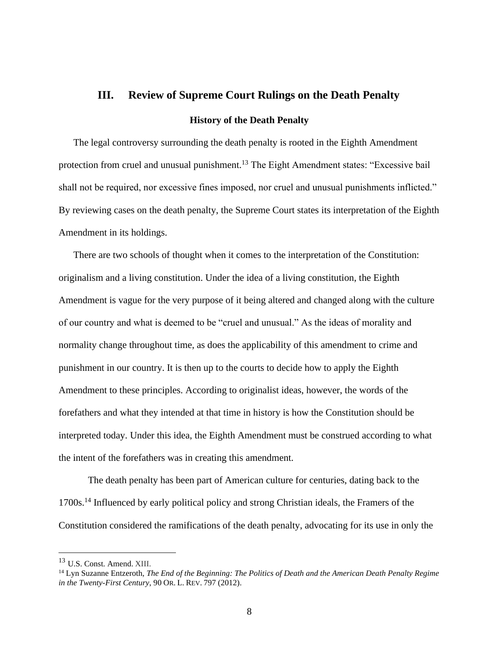## <span id="page-8-0"></span>**III. Review of Supreme Court Rulings on the Death Penalty**

#### **History of the Death Penalty**

<span id="page-8-1"></span>The legal controversy surrounding the death penalty is rooted in the Eighth Amendment protection from cruel and unusual punishment.<sup>13</sup> The Eight Amendment states: "Excessive bail shall not be required, nor excessive fines imposed, nor cruel and unusual punishments inflicted." By reviewing cases on the death penalty, the Supreme Court states its interpretation of the Eighth Amendment in its holdings.

There are two schools of thought when it comes to the interpretation of the Constitution: originalism and a living constitution. Under the idea of a living constitution, the Eighth Amendment is vague for the very purpose of it being altered and changed along with the culture of our country and what is deemed to be "cruel and unusual." As the ideas of morality and normality change throughout time, as does the applicability of this amendment to crime and punishment in our country. It is then up to the courts to decide how to apply the Eighth Amendment to these principles. According to originalist ideas, however, the words of the forefathers and what they intended at that time in history is how the Constitution should be interpreted today. Under this idea, the Eighth Amendment must be construed according to what the intent of the forefathers was in creating this amendment.

The death penalty has been part of American culture for centuries, dating back to the 1700s.<sup>14</sup> Influenced by early political policy and strong Christian ideals, the Framers of the Constitution considered the ramifications of the death penalty, advocating for its use in only the

<sup>13</sup> U.S. Const. Amend. XIII.

<sup>14</sup> Lyn Suzanne Entzeroth, *The End of the Beginning: The Politics of Death and the American Death Penalty Regime in the Twenty-First Century*, 90 OR. L. REV. 797 (2012).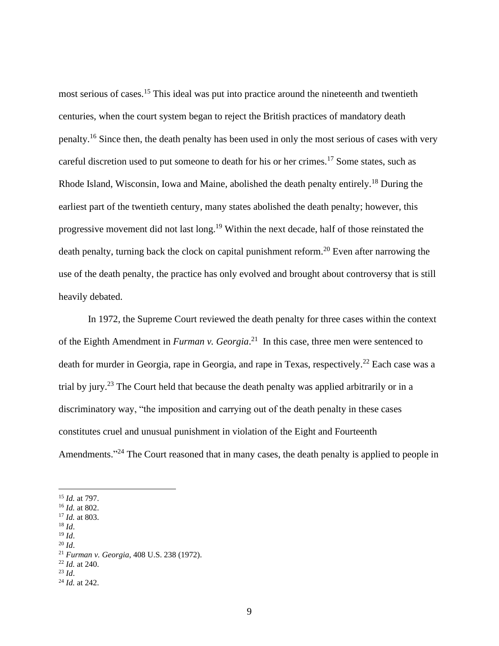most serious of cases.<sup>15</sup> This ideal was put into practice around the nineteenth and twentieth centuries, when the court system began to reject the British practices of mandatory death penalty.<sup>16</sup> Since then, the death penalty has been used in only the most serious of cases with very careful discretion used to put someone to death for his or her crimes.<sup>17</sup> Some states, such as Rhode Island, Wisconsin, Iowa and Maine, abolished the death penalty entirely.<sup>18</sup> During the earliest part of the twentieth century, many states abolished the death penalty; however, this progressive movement did not last long.<sup>19</sup> Within the next decade, half of those reinstated the death penalty, turning back the clock on capital punishment reform.<sup>20</sup> Even after narrowing the use of the death penalty, the practice has only evolved and brought about controversy that is still heavily debated.

In 1972, the Supreme Court reviewed the death penalty for three cases within the context of the Eighth Amendment in *Furman v. Georgia*. 21 In this case, three men were sentenced to death for murder in Georgia, rape in Georgia, and rape in Texas, respectively.<sup>22</sup> Each case was a trial by jury.<sup>23</sup> The Court held that because the death penalty was applied arbitrarily or in a discriminatory way, "the imposition and carrying out of the death penalty in these cases constitutes cruel and unusual punishment in violation of the Eight and Fourteenth Amendments."<sup>24</sup> The Court reasoned that in many cases, the death penalty is applied to people in

- <sup>17</sup> *Id.* at 803.
- $^{18}$  *Id.* <sup>19</sup> *Id*.
- <sup>20</sup> *Id*.

- <sup>22</sup> *Id.* at 240.
- <sup>23</sup> *Id*.
- <sup>24</sup> *Id.* at 242.

<sup>15</sup> *Id.* at 797.

<sup>16</sup> *Id.* at 802.

<sup>21</sup> *Furman v. Georgia*, 408 U.S. 238 (1972).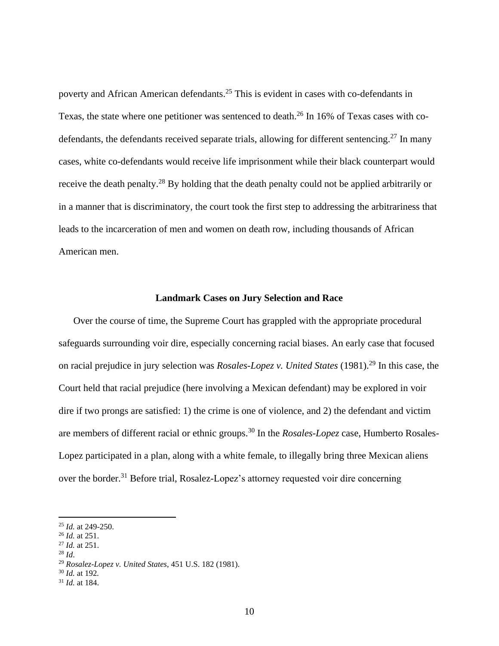poverty and African American defendants.<sup>25</sup> This is evident in cases with co-defendants in Texas, the state where one petitioner was sentenced to death.<sup>26</sup> In 16% of Texas cases with codefendants, the defendants received separate trials, allowing for different sentencing.<sup>27</sup> In many cases, white co-defendants would receive life imprisonment while their black counterpart would receive the death penalty.<sup>28</sup> By holding that the death penalty could not be applied arbitrarily or in a manner that is discriminatory, the court took the first step to addressing the arbitrariness that leads to the incarceration of men and women on death row, including thousands of African American men.

#### **Landmark Cases on Jury Selection and Race**

<span id="page-10-0"></span>Over the course of time, the Supreme Court has grappled with the appropriate procedural safeguards surrounding voir dire, especially concerning racial biases. An early case that focused on racial prejudice in jury selection was *Rosales-Lopez v. United States* (1981). <sup>29</sup> In this case, the Court held that racial prejudice (here involving a Mexican defendant) may be explored in voir dire if two prongs are satisfied: 1) the crime is one of violence, and 2) the defendant and victim are members of different racial or ethnic groups.<sup>30</sup> In the *Rosales-Lopez* case, Humberto Rosales-Lopez participated in a plan, along with a white female, to illegally bring three Mexican aliens over the border.<sup>31</sup> Before trial, Rosalez-Lopez's attorney requested voir dire concerning

- <sup>27</sup> *Id.* at 251.
- <sup>28</sup> *Id*.

<sup>30</sup> *Id.* at 192*.* 

<sup>25</sup> *Id.* at 249-250.

<sup>26</sup> *Id.* at 251.

<sup>29</sup> *Rosalez-Lopez v. United States*, 451 U.S. 182 (1981).

<sup>31</sup> *Id.* at 184.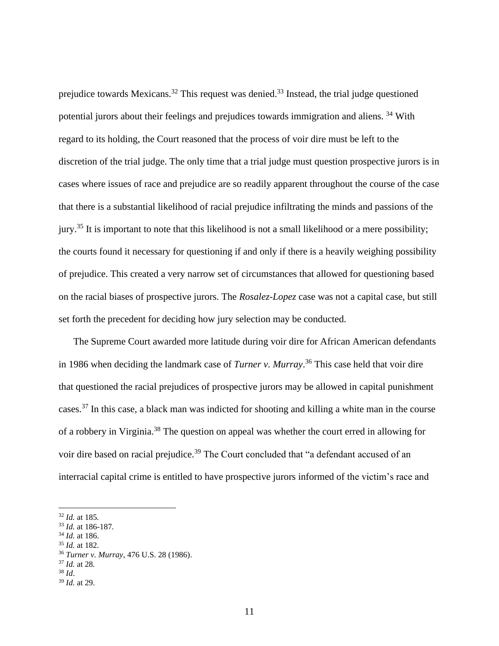prejudice towards Mexicans.<sup>32</sup> This request was denied.<sup>33</sup> Instead, the trial judge questioned potential jurors about their feelings and prejudices towards immigration and aliens. <sup>34</sup> With regard to its holding, the Court reasoned that the process of voir dire must be left to the discretion of the trial judge. The only time that a trial judge must question prospective jurors is in cases where issues of race and prejudice are so readily apparent throughout the course of the case that there is a substantial likelihood of racial prejudice infiltrating the minds and passions of the jury.<sup>35</sup> It is important to note that this likelihood is not a small likelihood or a mere possibility; the courts found it necessary for questioning if and only if there is a heavily weighing possibility of prejudice. This created a very narrow set of circumstances that allowed for questioning based on the racial biases of prospective jurors. The *Rosalez-Lopez* case was not a capital case, but still set forth the precedent for deciding how jury selection may be conducted.

The Supreme Court awarded more latitude during voir dire for African American defendants in 1986 when deciding the landmark case of *Turner v. Murray*. <sup>36</sup> This case held that voir dire that questioned the racial prejudices of prospective jurors may be allowed in capital punishment cases.<sup>37</sup> In this case, a black man was indicted for shooting and killing a white man in the course of a robbery in Virginia.<sup>38</sup> The question on appeal was whether the court erred in allowing for voir dire based on racial prejudice.<sup>39</sup> The Court concluded that "a defendant accused of an interracial capital crime is entitled to have prospective jurors informed of the victim's race and

- <sup>34</sup> *Id.* at 186.
- <sup>35</sup> *Id.* at 182.

<sup>32</sup> *Id.* at 185*.* 

<sup>33</sup> *Id.* at 186-187*.* 

<sup>36</sup> *Turner v. Murray*, 476 U.S. 28 (1986).

<sup>37</sup> *Id.* at 28*.*

<sup>38</sup> *Id*.

<sup>39</sup> *Id.* at 29.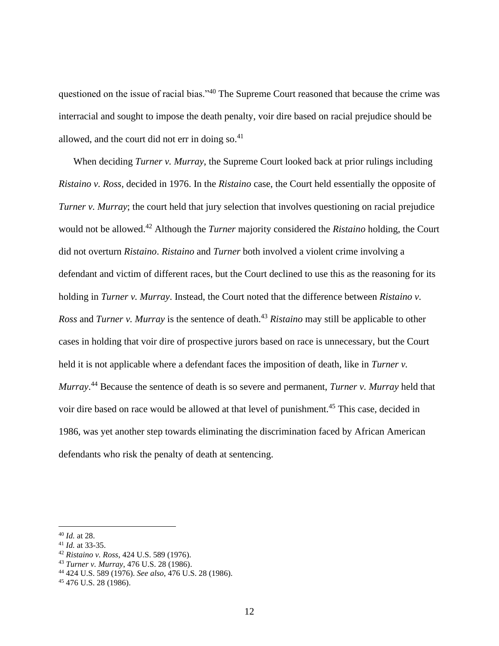questioned on the issue of racial bias."<sup>40</sup> The Supreme Court reasoned that because the crime was interracial and sought to impose the death penalty, voir dire based on racial prejudice should be allowed, and the court did not err in doing so. $41$ 

When deciding *Turner v. Murray*, the Supreme Court looked back at prior rulings including *Ristaino v. Ross,* decided in 1976. In the *Ristaino* case, the Court held essentially the opposite of *Turner v. Murray*; the court held that jury selection that involves questioning on racial prejudice would not be allowed.<sup>42</sup> Although the *Turner* majority considered the *Ristaino* holding, the Court did not overturn *Ristaino*. *Ristaino* and *Turner* both involved a violent crime involving a defendant and victim of different races, but the Court declined to use this as the reasoning for its holding in *Turner v. Murray*. Instead, the Court noted that the difference between *Ristaino v. Ross* and *Turner v. Murray* is the sentence of death.<sup>43</sup> *Ristaino* may still be applicable to other cases in holding that voir dire of prospective jurors based on race is unnecessary, but the Court held it is not applicable where a defendant faces the imposition of death, like in *Turner v. Murray*. <sup>44</sup> Because the sentence of death is so severe and permanent, *Turner v. Murray* held that voir dire based on race would be allowed at that level of punishment.<sup>45</sup> This case, decided in 1986, was yet another step towards eliminating the discrimination faced by African American defendants who risk the penalty of death at sentencing.

<sup>40</sup> *Id.* at 28.

<sup>41</sup> *Id.* at 33-35.

<sup>42</sup> *Ristaino v. Ross*, 424 U.S. 589 (1976).

<sup>43</sup> *Turner v. Murray*, 476 U.S. 28 (1986).

<sup>44</sup> 424 U.S. 589 (1976). *See also*, 476 U.S. 28 (1986).

<sup>45</sup> 476 U.S. 28 (1986).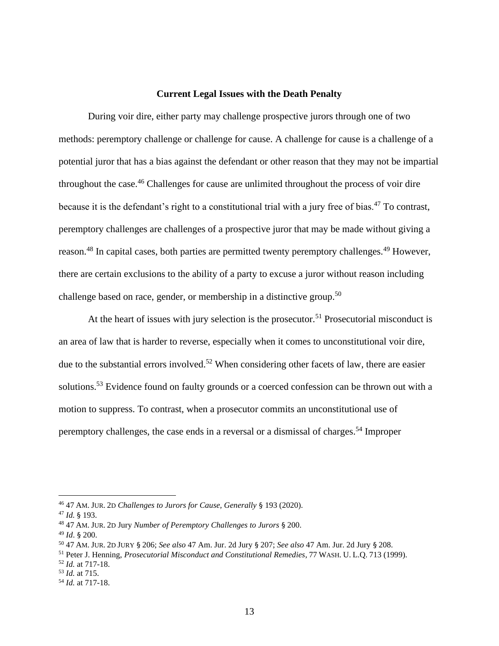#### **Current Legal Issues with the Death Penalty**

<span id="page-13-0"></span>During voir dire, either party may challenge prospective jurors through one of two methods: peremptory challenge or challenge for cause. A challenge for cause is a challenge of a potential juror that has a bias against the defendant or other reason that they may not be impartial throughout the case.<sup>46</sup> Challenges for cause are unlimited throughout the process of voir dire because it is the defendant's right to a constitutional trial with a jury free of bias.<sup>47</sup> To contrast, peremptory challenges are challenges of a prospective juror that may be made without giving a reason.<sup>48</sup> In capital cases, both parties are permitted twenty peremptory challenges.<sup>49</sup> However, there are certain exclusions to the ability of a party to excuse a juror without reason including challenge based on race, gender, or membership in a distinctive group.<sup>50</sup>

At the heart of issues with jury selection is the prosecutor.<sup>51</sup> Prosecutorial misconduct is an area of law that is harder to reverse, especially when it comes to unconstitutional voir dire, due to the substantial errors involved.<sup>52</sup> When considering other facets of law, there are easier solutions.<sup>53</sup> Evidence found on faulty grounds or a coerced confession can be thrown out with a motion to suppress. To contrast, when a prosecutor commits an unconstitutional use of peremptory challenges, the case ends in a reversal or a dismissal of charges.<sup>54</sup> Improper

<sup>46</sup> 47 AM. JUR. 2D *Challenges to Jurors for Cause, Generally* § 193 (2020).

<sup>47</sup> *Id.* § 193.

<sup>48</sup> 47 AM. JUR. 2D Jury *Number of Peremptory Challenges to Jurors* § 200.

<sup>49</sup> *Id*. § 200.

<sup>50</sup> 47 AM. JUR. 2D JURY § 206; *See also* 47 Am. Jur. 2d Jury § 207; *See also* 47 Am. Jur. 2d Jury § 208.

<sup>51</sup> Peter J. Henning, *Prosecutorial Misconduct and Constitutional Remedies*, 77 WASH. U. L.Q. 713 (1999).

<sup>52</sup> *Id.* at 717-18.

<sup>53</sup> *Id.* at 715.

<sup>54</sup> *Id.* at 717-18.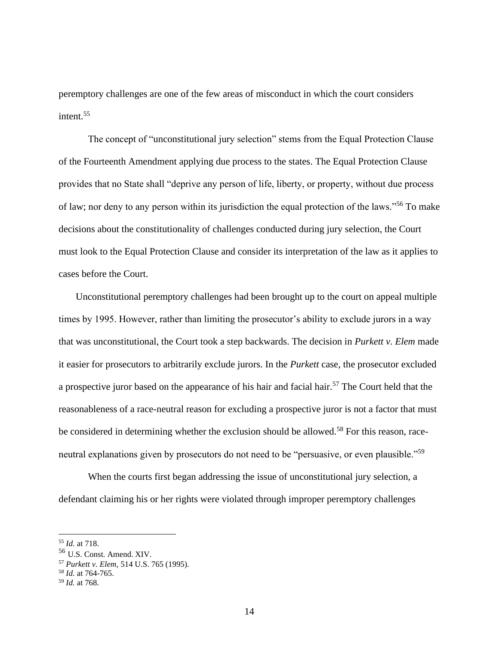peremptory challenges are one of the few areas of misconduct in which the court considers intent.<sup>55</sup>

The concept of "unconstitutional jury selection" stems from the Equal Protection Clause of the Fourteenth Amendment applying due process to the states. The Equal Protection Clause provides that no State shall "deprive any person of life, liberty, or property, without due process of law; nor deny to any person within its jurisdiction the equal protection of the laws."<sup>56</sup> To make decisions about the constitutionality of challenges conducted during jury selection, the Court must look to the Equal Protection Clause and consider its interpretation of the law as it applies to cases before the Court.

Unconstitutional peremptory challenges had been brought up to the court on appeal multiple times by 1995. However, rather than limiting the prosecutor's ability to exclude jurors in a way that was unconstitutional, the Court took a step backwards. The decision in *Purkett v. Elem* made it easier for prosecutors to arbitrarily exclude jurors. In the *Purkett* case, the prosecutor excluded a prospective juror based on the appearance of his hair and facial hair.<sup>57</sup> The Court held that the reasonableness of a race-neutral reason for excluding a prospective juror is not a factor that must be considered in determining whether the exclusion should be allowed.<sup>58</sup> For this reason, raceneutral explanations given by prosecutors do not need to be "persuasive, or even plausible."<sup>59</sup>

When the courts first began addressing the issue of unconstitutional jury selection, a defendant claiming his or her rights were violated through improper peremptory challenges

<sup>55</sup> *Id.* at 718.

<sup>56</sup> U.S. Const. Amend. XIV.

<sup>57</sup> *Purkett v. Elem,* 514 U.S. 765 (1995).

<sup>58</sup> *Id.* at 764-765.

<sup>59</sup> *Id.* at 768.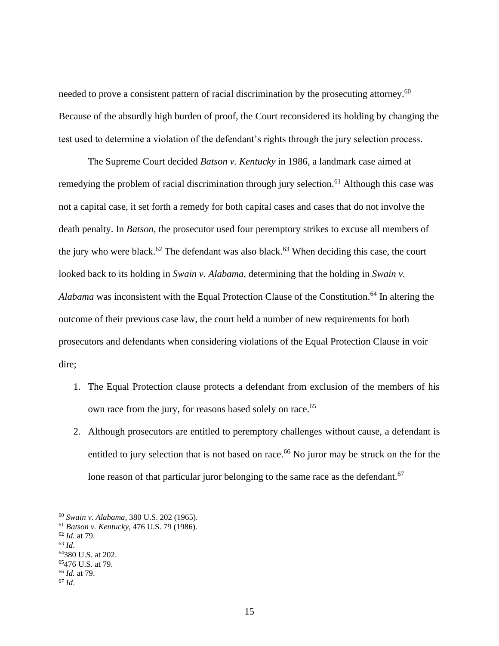needed to prove a consistent pattern of racial discrimination by the prosecuting attorney.<sup>60</sup> Because of the absurdly high burden of proof, the Court reconsidered its holding by changing the test used to determine a violation of the defendant's rights through the jury selection process.

The Supreme Court decided *Batson v. Kentucky* in 1986, a landmark case aimed at remedying the problem of racial discrimination through jury selection.<sup>61</sup> Although this case was not a capital case, it set forth a remedy for both capital cases and cases that do not involve the death penalty. In *Batson*, the prosecutor used four peremptory strikes to excuse all members of the jury who were black.<sup>62</sup> The defendant was also black.<sup>63</sup> When deciding this case, the court looked back to its holding in *Swain v. Alabama*, determining that the holding in *Swain v. Alabama* was inconsistent with the Equal Protection Clause of the Constitution.<sup>64</sup> In altering the outcome of their previous case law, the court held a number of new requirements for both prosecutors and defendants when considering violations of the Equal Protection Clause in voir dire;

- 1. The Equal Protection clause protects a defendant from exclusion of the members of his own race from the jury, for reasons based solely on race.<sup>65</sup>
- 2. Although prosecutors are entitled to peremptory challenges without cause, a defendant is entitled to jury selection that is not based on race.<sup>66</sup> No juror may be struck on the for the lone reason of that particular juror belonging to the same race as the defendant.<sup>67</sup>

<sup>60</sup> *Swain v. Alabama*, 380 U.S. 202 (1965).

<sup>61</sup> *Batson v. Kentucky*, 476 U.S. 79 (1986).

<sup>62</sup> *Id.* at 79.

<sup>63</sup> *Id*.

<sup>64</sup>380 U.S. at 202.

<sup>65</sup>476 U.S. at 79.

<sup>66</sup> *Id.* at 79.

<sup>67</sup> *Id*.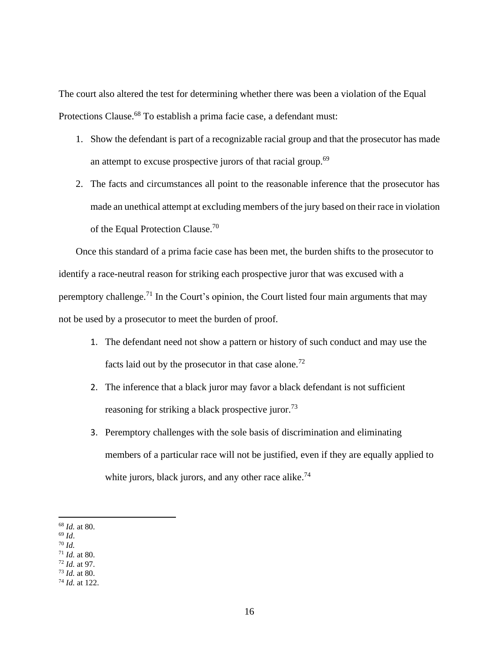The court also altered the test for determining whether there was been a violation of the Equal Protections Clause.<sup>68</sup> To establish a prima facie case, a defendant must:

- 1. Show the defendant is part of a recognizable racial group and that the prosecutor has made an attempt to excuse prospective jurors of that racial group.<sup>69</sup>
- 2. The facts and circumstances all point to the reasonable inference that the prosecutor has made an unethical attempt at excluding members of the jury based on their race in violation of the Equal Protection Clause.<sup>70</sup>

Once this standard of a prima facie case has been met, the burden shifts to the prosecutor to identify a race-neutral reason for striking each prospective juror that was excused with a peremptory challenge.<sup>71</sup> In the Court's opinion, the Court listed four main arguments that may not be used by a prosecutor to meet the burden of proof.

- 1. The defendant need not show a pattern or history of such conduct and may use the facts laid out by the prosecutor in that case alone.<sup>72</sup>
- 2. The inference that a black juror may favor a black defendant is not sufficient reasoning for striking a black prospective juror.<sup>73</sup>
- 3. Peremptory challenges with the sole basis of discrimination and eliminating members of a particular race will not be justified, even if they are equally applied to white jurors, black jurors, and any other race alike.<sup>74</sup>

<sup>68</sup> *Id.* at 80.

<sup>69</sup> *Id*.

<sup>70</sup> *Id.* 

<sup>71</sup> *Id.* at 80. <sup>72</sup> *Id.* at 97.

<sup>73</sup> *Id.* at 80.

<sup>74</sup> *Id.* at 122.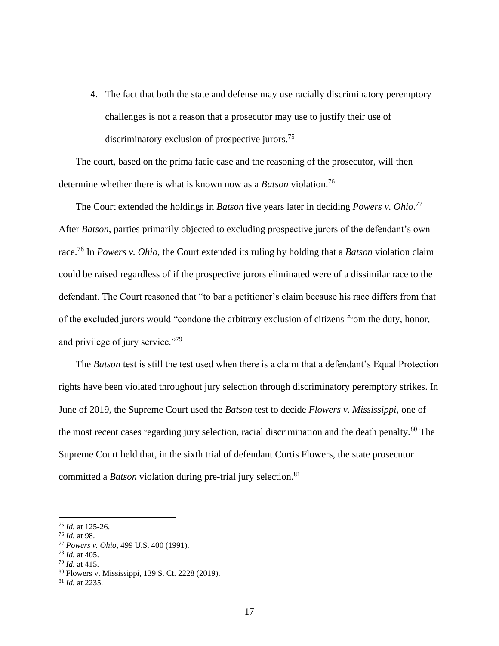4. The fact that both the state and defense may use racially discriminatory peremptory challenges is not a reason that a prosecutor may use to justify their use of discriminatory exclusion of prospective jurors.<sup>75</sup>

The court, based on the prima facie case and the reasoning of the prosecutor, will then determine whether there is what is known now as a *Batson* violation.<sup>76</sup>

The Court extended the holdings in *Batson* five years later in deciding *Powers v. Ohio*. 77 After *Batson*, parties primarily objected to excluding prospective jurors of the defendant's own race.<sup>78</sup> In *Powers v. Ohio*, the Court extended its ruling by holding that a *Batson* violation claim could be raised regardless of if the prospective jurors eliminated were of a dissimilar race to the defendant. The Court reasoned that "to bar a petitioner's claim because his race differs from that of the excluded jurors would "condone the arbitrary exclusion of citizens from the duty, honor, and privilege of jury service."<sup>79</sup>

The *Batson* test is still the test used when there is a claim that a defendant's Equal Protection rights have been violated throughout jury selection through discriminatory peremptory strikes. In June of 2019, the Supreme Court used the *Batson* test to decide *Flowers v. Mississippi*, one of the most recent cases regarding jury selection, racial discrimination and the death penalty.<sup>80</sup> The Supreme Court held that, in the sixth trial of defendant Curtis Flowers, the state prosecutor committed a *Batson* violation during pre-trial jury selection.<sup>81</sup>

- <sup>77</sup> *Powers v. Ohio*, 499 U.S. 400 (1991).
- <sup>78</sup> *Id.* at 405.

<sup>75</sup> *Id.* at 125-26.

<sup>76</sup> *Id.* at 98.

<sup>79</sup> *Id.* at 415.

<sup>80</sup> Flowers v. Mississippi, 139 S. Ct. 2228 (2019).

<sup>81</sup> *Id.* at 2235.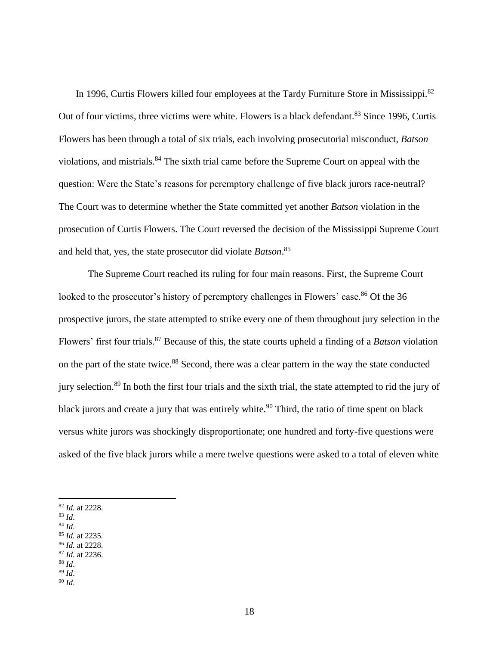In 1996, Curtis Flowers killed four employees at the Tardy Furniture Store in Mississippi.<sup>82</sup> Out of four victims, three victims were white. Flowers is a black defendant.<sup>83</sup> Since 1996, Curtis Flowers has been through a total of six trials, each involving prosecutorial misconduct, *Batson* violations, and mistrials.<sup>84</sup> The sixth trial came before the Supreme Court on appeal with the question: Were the State's reasons for peremptory challenge of five black jurors race-neutral? The Court was to determine whether the State committed yet another *Batson* violation in the prosecution of Curtis Flowers. The Court reversed the decision of the Mississippi Supreme Court and held that, yes, the state prosecutor did violate *Batson*. 85

The Supreme Court reached its ruling for four main reasons. First, the Supreme Court looked to the prosecutor's history of peremptory challenges in Flowers' case.<sup>86</sup> Of the 36 prospective jurors, the state attempted to strike every one of them throughout jury selection in the Flowers' first four trials.<sup>87</sup> Because of this, the state courts upheld a finding of a *Batson* violation on the part of the state twice.<sup>88</sup> Second, there was a clear pattern in the way the state conducted jury selection.<sup>89</sup> In both the first four trials and the sixth trial, the state attempted to rid the jury of black jurors and create a jury that was entirely white.<sup>90</sup> Third, the ratio of time spent on black versus white jurors was shockingly disproportionate; one hundred and forty-five questions were asked of the five black jurors while a mere twelve questions were asked to a total of eleven white

- <sup>84</sup> *Id*.
- <sup>85</sup> *Id.* at 2235. <sup>86</sup> *Id.* at 2228.
- <sup>87</sup> *Id.* at 2236.
- <sup>88</sup> *Id*.
- <sup>89</sup> *Id*.
- <sup>90</sup> *Id*.

<sup>82</sup> *Id.* at 2228.

<sup>83</sup> *Id*.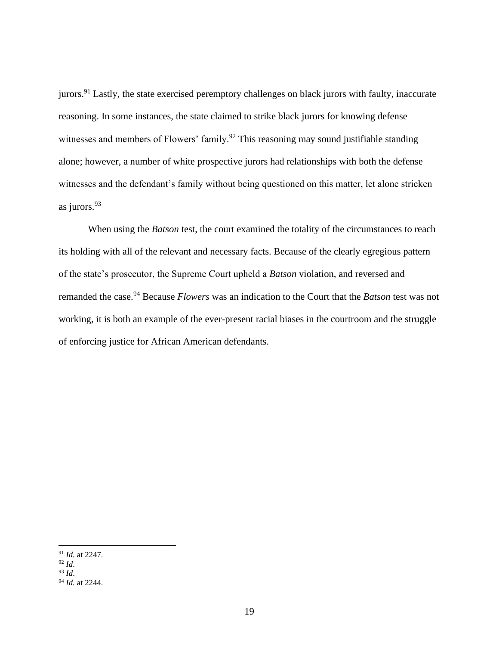jurors.<sup>91</sup> Lastly, the state exercised peremptory challenges on black jurors with faulty, inaccurate reasoning. In some instances, the state claimed to strike black jurors for knowing defense witnesses and members of Flowers' family.<sup>92</sup> This reasoning may sound justifiable standing alone; however, a number of white prospective jurors had relationships with both the defense witnesses and the defendant's family without being questioned on this matter, let alone stricken as jurors.<sup>93</sup>

When using the *Batson* test, the court examined the totality of the circumstances to reach its holding with all of the relevant and necessary facts. Because of the clearly egregious pattern of the state's prosecutor, the Supreme Court upheld a *Batson* violation, and reversed and remanded the case. <sup>94</sup> Because *Flowers* was an indication to the Court that the *Batson* test was not working, it is both an example of the ever-present racial biases in the courtroom and the struggle of enforcing justice for African American defendants.

<sup>91</sup> *Id.* at 2247.

 $^{92}$  *Id.* 

<sup>93</sup> *Id*.

<sup>94</sup> *Id.* at 2244.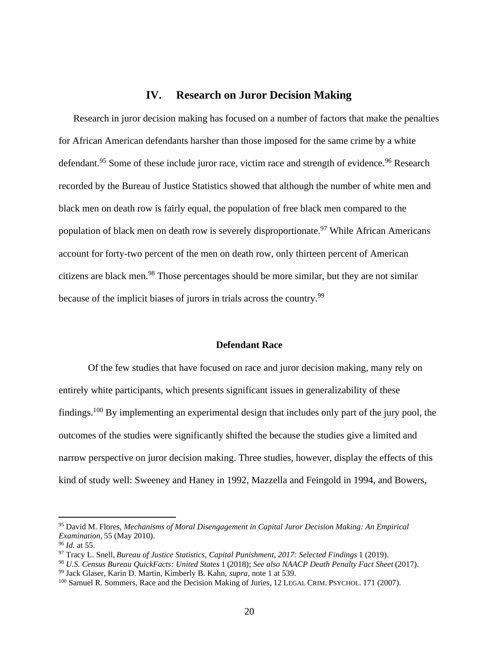## **IV. Research on Juror Decision Making**

<span id="page-20-0"></span>Research in juror decision making has focused on a number of factors that make the penalties for African American defendants harsher than those imposed for the same crime by a white defendant.<sup>95</sup> Some of these include juror race, victim race and strength of evidence.<sup>96</sup> Research recorded by the Bureau of Justice Statistics showed that although the number of white men and black men on death row is fairly equal, the population of free black men compared to the population of black men on death row is severely disproportionate.<sup>97</sup> While African Americans account for forty-two percent of the men on death row, only thirteen percent of American citizens are black men.<sup>98</sup> Those percentages should be more similar, but they are not similar because of the implicit biases of jurors in trials across the country.<sup>99</sup>

#### **Defendant Race**

<span id="page-20-1"></span>Of the few studies that have focused on race and juror decision making, many rely on entirely white participants, which presents significant issues in generalizability of these findings.<sup>100</sup> By implementing an experimental design that includes only part of the jury pool, the outcomes of the studies were significantly shifted the because the studies give a limited and narrow perspective on juror decision making. Three studies, however, display the effects of this kind of study well: Sweeney and Haney in 1992, Mazzella and Feingold in 1994, and Bowers,

<sup>95</sup> David M. Flores, *Mechanisms of Moral Disengagement in Capital Juror Decision Making: An Empirical Examination*, 55 (May 2010).

<sup>96</sup> *Id.* at 55.

<sup>97</sup> Tracy L. Snell, *Bureau of Justice Statistics, Capital Punishment, 2017: Selected Findings* 1 (2019).

<sup>98</sup> *U.S. Census Bureau QuickFacts: United States* 1 (2018); *See also NAACP Death Penalty Fact Sheet* (2017).

<sup>99</sup> Jack Glaser, Karin D. Martin, Kimberly B. Kahn, *supra,* note 1 at 539.

<sup>100</sup> Samuel R. Sommers, Race and the Decision Making of Juries, 12 LEGAL CRIM. PSYCHOL. 171 (2007).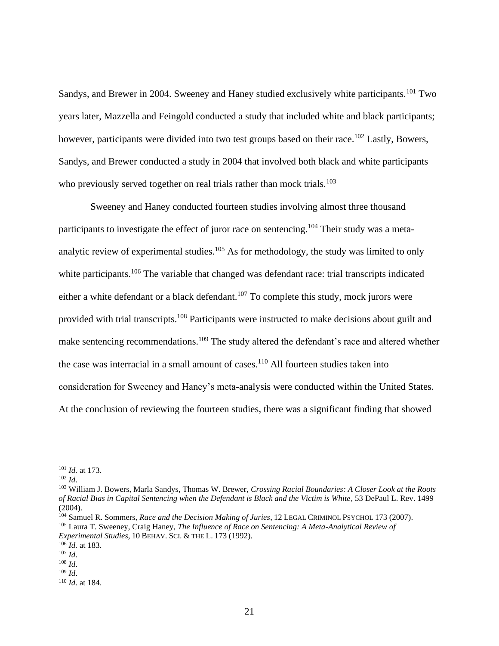Sandys, and Brewer in 2004. Sweeney and Haney studied exclusively white participants.<sup>101</sup> Two years later, Mazzella and Feingold conducted a study that included white and black participants; however, participants were divided into two test groups based on their race.<sup>102</sup> Lastly, Bowers, Sandys, and Brewer conducted a study in 2004 that involved both black and white participants who previously served together on real trials rather than mock trials.<sup>103</sup>

Sweeney and Haney conducted fourteen studies involving almost three thousand participants to investigate the effect of juror race on sentencing.<sup>104</sup> Their study was a metaanalytic review of experimental studies.<sup>105</sup> As for methodology, the study was limited to only white participants.<sup>106</sup> The variable that changed was defendant race: trial transcripts indicated either a white defendant or a black defendant.<sup>107</sup> To complete this study, mock jurors were provided with trial transcripts.<sup>108</sup> Participants were instructed to make decisions about guilt and make sentencing recommendations.<sup>109</sup> The study altered the defendant's race and altered whether the case was interracial in a small amount of cases.<sup>110</sup> All fourteen studies taken into consideration for Sweeney and Haney's meta-analysis were conducted within the United States. At the conclusion of reviewing the fourteen studies, there was a significant finding that showed

<sup>101</sup> *Id.* at 173.

<sup>102</sup> *Id*.

<sup>103</sup> William J. Bowers, Marla Sandys, Thomas W. Brewer, *Crossing Racial Boundaries: A Closer Look at the Roots of Racial Bias in Capital Sentencing when the Defendant is Black and the Victim is White*, 53 DePaul L. Rev. 1499 (2004).

<sup>104</sup> Samuel R. Sommers, *Race and the Decision Making of Juries*, 12 LEGAL CRIMINOL PSYCHOL 173 (2007).

<sup>105</sup> Laura T. Sweeney, Craig Haney, *The Influence of Race on Sentencing: A Meta-Analytical Review of Experimental Studies*, 10 BEHAV. SCI. & THE L. 173 (1992).

<sup>106</sup> *Id.* at 183.

<sup>107</sup> *Id*.

<sup>108</sup> *Id*. <sup>109</sup> *Id*.

<sup>110</sup> *Id.* at 184.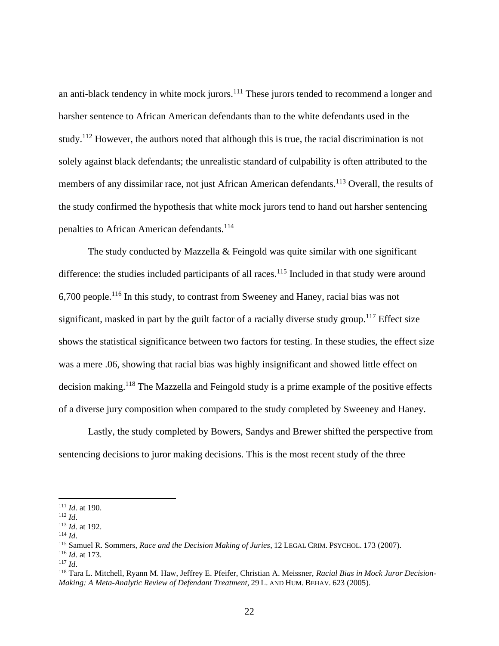an anti-black tendency in white mock jurors.<sup>111</sup> These jurors tended to recommend a longer and harsher sentence to African American defendants than to the white defendants used in the study.<sup>112</sup> However, the authors noted that although this is true, the racial discrimination is not solely against black defendants; the unrealistic standard of culpability is often attributed to the members of any dissimilar race, not just African American defendants.<sup>113</sup> Overall, the results of the study confirmed the hypothesis that white mock jurors tend to hand out harsher sentencing penalties to African American defendants.<sup>114</sup>

The study conducted by Mazzella  $&$  Feingold was quite similar with one significant difference: the studies included participants of all races.<sup>115</sup> Included in that study were around 6,700 people.<sup>116</sup> In this study, to contrast from Sweeney and Haney, racial bias was not significant, masked in part by the guilt factor of a racially diverse study group.<sup>117</sup> Effect size shows the statistical significance between two factors for testing. In these studies, the effect size was a mere .06, showing that racial bias was highly insignificant and showed little effect on decision making.<sup>118</sup> The Mazzella and Feingold study is a prime example of the positive effects of a diverse jury composition when compared to the study completed by Sweeney and Haney.

Lastly, the study completed by Bowers, Sandys and Brewer shifted the perspective from sentencing decisions to juror making decisions. This is the most recent study of the three

<sup>111</sup> *Id.* at 190.

<sup>112</sup> *Id*.

<sup>113</sup> *Id.* at 192.

<sup>114</sup> *Id*.

<sup>115</sup> Samuel R. Sommers, *Race and the Decision Making of Juries*, 12 LEGAL CRIM. PSYCHOL. 173 (2007).

<sup>116</sup> *Id.* at 173.

 $117$  *Id.* 

<sup>118</sup> Tara L. Mitchell, Ryann M. Haw, Jeffrey E. Pfeifer, Christian A. Meissner, *Racial Bias in Mock Juror Decision-Making: A Meta-Analytic Review of Defendant Treatment*, 29 L. AND HUM. BEHAV. 623 (2005).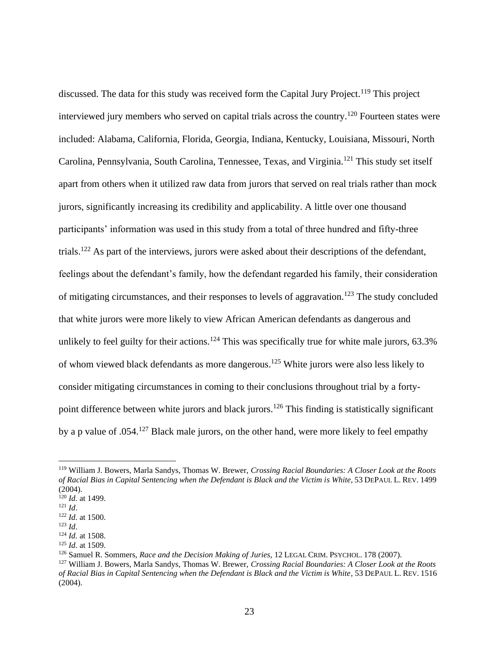discussed. The data for this study was received form the Capital Jury Project.<sup>119</sup> This project interviewed jury members who served on capital trials across the country.<sup>120</sup> Fourteen states were included: Alabama, California, Florida, Georgia, Indiana, Kentucky, Louisiana, Missouri, North Carolina, Pennsylvania, South Carolina, Tennessee, Texas, and Virginia.<sup>121</sup> This study set itself apart from others when it utilized raw data from jurors that served on real trials rather than mock jurors, significantly increasing its credibility and applicability. A little over one thousand participants' information was used in this study from a total of three hundred and fifty-three trials.<sup>122</sup> As part of the interviews, jurors were asked about their descriptions of the defendant, feelings about the defendant's family, how the defendant regarded his family, their consideration of mitigating circumstances, and their responses to levels of aggravation.<sup>123</sup> The study concluded that white jurors were more likely to view African American defendants as dangerous and unlikely to feel guilty for their actions.<sup>124</sup> This was specifically true for white male jurors,  $63.3\%$ of whom viewed black defendants as more dangerous.<sup>125</sup> White jurors were also less likely to consider mitigating circumstances in coming to their conclusions throughout trial by a fortypoint difference between white jurors and black jurors.<sup>126</sup> This finding is statistically significant by a p value of .054.<sup>127</sup> Black male jurors, on the other hand, were more likely to feel empathy

<sup>119</sup> William J. Bowers, Marla Sandys, Thomas W. Brewer, *Crossing Racial Boundaries: A Closer Look at the Roots of Racial Bias in Capital Sentencing when the Defendant is Black and the Victim is White*, 53 DEPAUL L. REV. 1499 (2004). <sup>120</sup> *Id.* at 1499.

<sup>121</sup> *Id*.

<sup>122</sup> *Id.* at 1500. <sup>123</sup> *Id*.

<sup>124</sup> *Id.* at 1508. <sup>125</sup> *Id.* at 1509.

<sup>126</sup> Samuel R. Sommers, *Race and the Decision Making of Juries*, 12 LEGAL CRIM. PSYCHOL. 178 (2007).

<sup>127</sup> William J. Bowers, Marla Sandys, Thomas W. Brewer, *Crossing Racial Boundaries: A Closer Look at the Roots of Racial Bias in Capital Sentencing when the Defendant is Black and the Victim is White*, 53 DEPAUL L. REV. 1516 (2004).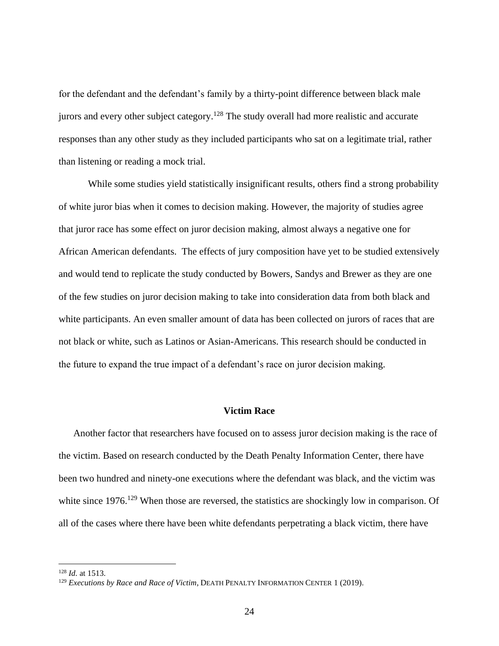for the defendant and the defendant's family by a thirty-point difference between black male jurors and every other subject category.<sup>128</sup> The study overall had more realistic and accurate responses than any other study as they included participants who sat on a legitimate trial, rather than listening or reading a mock trial.

While some studies yield statistically insignificant results, others find a strong probability of white juror bias when it comes to decision making. However, the majority of studies agree that juror race has some effect on juror decision making, almost always a negative one for African American defendants. The effects of jury composition have yet to be studied extensively and would tend to replicate the study conducted by Bowers, Sandys and Brewer as they are one of the few studies on juror decision making to take into consideration data from both black and white participants. An even smaller amount of data has been collected on jurors of races that are not black or white, such as Latinos or Asian-Americans. This research should be conducted in the future to expand the true impact of a defendant's race on juror decision making.

#### **Victim Race**

<span id="page-24-0"></span>Another factor that researchers have focused on to assess juror decision making is the race of the victim. Based on research conducted by the Death Penalty Information Center, there have been two hundred and ninety-one executions where the defendant was black, and the victim was white since 1976.<sup>129</sup> When those are reversed, the statistics are shockingly low in comparison. Of all of the cases where there have been white defendants perpetrating a black victim, there have

<sup>128</sup> *Id.* at 1513.

<sup>129</sup> *Executions by Race and Race of Victim*, DEATH PENALTY INFORMATION CENTER 1 (2019).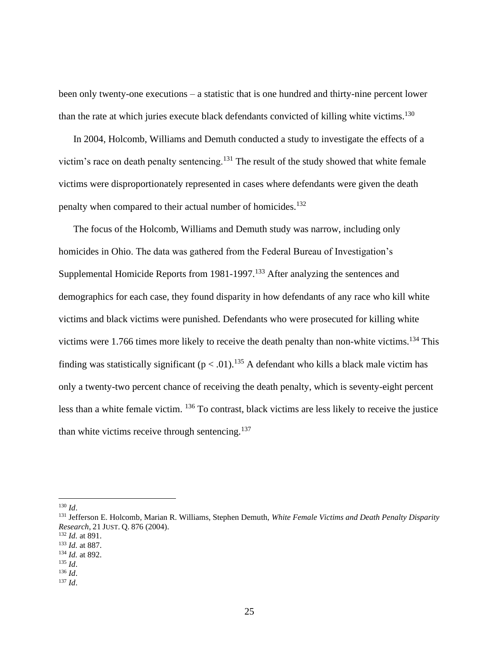been only twenty-one executions – a statistic that is one hundred and thirty-nine percent lower than the rate at which juries execute black defendants convicted of killing white victims.<sup>130</sup>

In 2004, Holcomb, Williams and Demuth conducted a study to investigate the effects of a victim's race on death penalty sentencing. $131$  The result of the study showed that white female victims were disproportionately represented in cases where defendants were given the death penalty when compared to their actual number of homicides.<sup>132</sup>

The focus of the Holcomb, Williams and Demuth study was narrow, including only homicides in Ohio. The data was gathered from the Federal Bureau of Investigation's Supplemental Homicide Reports from 1981-1997.<sup>133</sup> After analyzing the sentences and demographics for each case, they found disparity in how defendants of any race who kill white victims and black victims were punished. Defendants who were prosecuted for killing white victims were 1.766 times more likely to receive the death penalty than non-white victims.<sup>134</sup> This finding was statistically significant ( $p < .01$ ).<sup>135</sup> A defendant who kills a black male victim has only a twenty-two percent chance of receiving the death penalty, which is seventy-eight percent less than a white female victim. <sup>136</sup> To contrast, black victims are less likely to receive the justice than white victims receive through sentencing. $137$ 

<sup>130</sup> *Id*.

<sup>131</sup> Jefferson E. Holcomb, Marian R. Williams, Stephen Demuth, *White Female Victims and Death Penalty Disparity Research*, 21 JUST. Q. 876 (2004).

<sup>132</sup> *Id.* at 891.

<sup>133</sup> *Id.* at 887.

<sup>134</sup> *Id.* at 892. <sup>135</sup> *Id*.

<sup>136</sup> *Id*.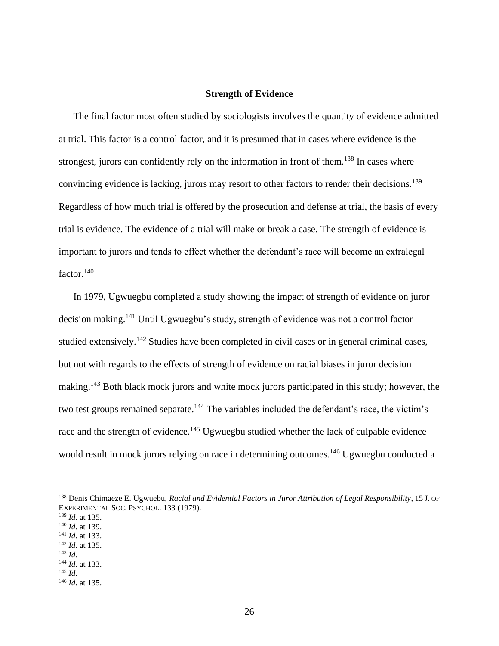#### **Strength of Evidence**

<span id="page-26-0"></span>The final factor most often studied by sociologists involves the quantity of evidence admitted at trial. This factor is a control factor, and it is presumed that in cases where evidence is the strongest, jurors can confidently rely on the information in front of them.<sup>138</sup> In cases where convincing evidence is lacking, jurors may resort to other factors to render their decisions.<sup>139</sup> Regardless of how much trial is offered by the prosecution and defense at trial, the basis of every trial is evidence. The evidence of a trial will make or break a case. The strength of evidence is important to jurors and tends to effect whether the defendant's race will become an extralegal  $factor.<sup>140</sup>$ 

In 1979, Ugwuegbu completed a study showing the impact of strength of evidence on juror decision making.<sup>141</sup> Until Ugwuegbu's study, strength of evidence was not a control factor studied extensively.<sup>142</sup> Studies have been completed in civil cases or in general criminal cases, but not with regards to the effects of strength of evidence on racial biases in juror decision making.<sup>143</sup> Both black mock jurors and white mock jurors participated in this study; however, the two test groups remained separate.<sup>144</sup> The variables included the defendant's race, the victim's race and the strength of evidence.<sup>145</sup> Ugwuegbu studied whether the lack of culpable evidence would result in mock jurors relying on race in determining outcomes.<sup>146</sup> Ugwuegbu conducted a

- <sup>141</sup> *Id.* at 133. <sup>142</sup> *Id.* at 135.
- <sup>143</sup> *Id*.
- <sup>144</sup> *Id.* at 133.

<sup>138</sup> Denis Chimaeze E. Ugwuebu, *Racial and Evidential Factors in Juror Attribution of Legal Responsibility*, 15 J. OF EXPERIMENTAL SOC. PSYCHOL. 133 (1979).

<sup>139</sup> *Id.* at 135.

<sup>140</sup> *Id.* at 139.

<sup>145</sup> *Id*.

<sup>146</sup> *Id.* at 135.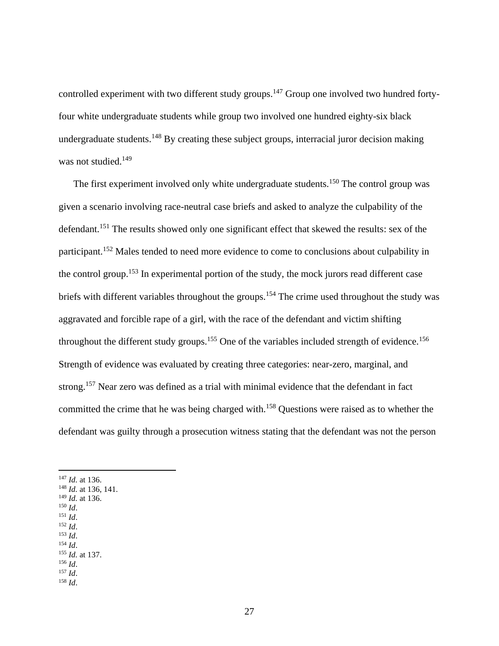controlled experiment with two different study groups.<sup>147</sup> Group one involved two hundred fortyfour white undergraduate students while group two involved one hundred eighty-six black undergraduate students.<sup>148</sup> By creating these subject groups, interracial juror decision making was not studied.<sup>149</sup>

The first experiment involved only white undergraduate students.<sup>150</sup> The control group was given a scenario involving race-neutral case briefs and asked to analyze the culpability of the defendant.<sup>151</sup> The results showed only one significant effect that skewed the results: sex of the participant.<sup>152</sup> Males tended to need more evidence to come to conclusions about culpability in the control group.<sup>153</sup> In experimental portion of the study, the mock jurors read different case briefs with different variables throughout the groups.<sup>154</sup> The crime used throughout the study was aggravated and forcible rape of a girl, with the race of the defendant and victim shifting throughout the different study groups.<sup>155</sup> One of the variables included strength of evidence.<sup>156</sup> Strength of evidence was evaluated by creating three categories: near-zero, marginal, and strong.<sup>157</sup> Near zero was defined as a trial with minimal evidence that the defendant in fact committed the crime that he was being charged with.<sup>158</sup> Questions were raised as to whether the defendant was guilty through a prosecution witness stating that the defendant was not the person

- <sup>148</sup> *Id.* at 136, 141.
- <sup>149</sup> *Id.* at 136. <sup>150</sup> *Id*.
- <sup>151</sup> *Id*.
- <sup>152</sup> *Id*.
- <sup>153</sup> *Id*.
- <sup>154</sup> *Id*.
- <sup>155</sup> *Id.* at 137.
- <sup>156</sup> *Id*.
- <sup>157</sup> *Id*. <sup>158</sup> *Id*.

<sup>147</sup> *Id.* at 136.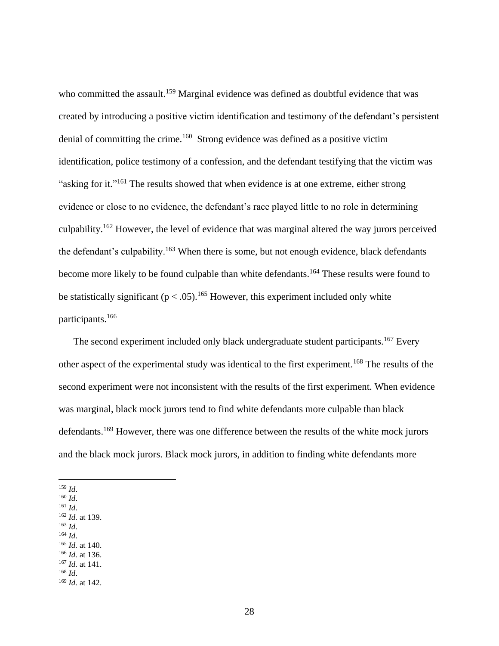who committed the assault.<sup>159</sup> Marginal evidence was defined as doubtful evidence that was created by introducing a positive victim identification and testimony of the defendant's persistent denial of committing the crime.<sup>160</sup> Strong evidence was defined as a positive victim identification, police testimony of a confession, and the defendant testifying that the victim was "asking for it."<sup>161</sup> The results showed that when evidence is at one extreme, either strong evidence or close to no evidence, the defendant's race played little to no role in determining culpability.<sup>162</sup> However, the level of evidence that was marginal altered the way jurors perceived the defendant's culpability.<sup>163</sup> When there is some, but not enough evidence, black defendants become more likely to be found culpable than white defendants.<sup>164</sup> These results were found to be statistically significant ( $p < .05$ ).<sup>165</sup> However, this experiment included only white participants.<sup>166</sup>

The second experiment included only black undergraduate student participants.<sup>167</sup> Every other aspect of the experimental study was identical to the first experiment.<sup>168</sup> The results of the second experiment were not inconsistent with the results of the first experiment. When evidence was marginal, black mock jurors tend to find white defendants more culpable than black defendants.<sup>169</sup> However, there was one difference between the results of the white mock jurors and the black mock jurors. Black mock jurors, in addition to finding white defendants more

<sup>159</sup> *Id*.

<sup>160</sup> *Id*.

- <sup>161</sup> *Id*.
- <sup>162</sup> *Id.* at 139. <sup>163</sup> *Id*.
- <sup>164</sup> *Id*.
- <sup>165</sup> *Id.* at 140.
- <sup>166</sup> *Id.* at 136.
- <sup>167</sup> *Id.* at 141.
- <sup>168</sup> *Id*.

<sup>169</sup> *Id.* at 142.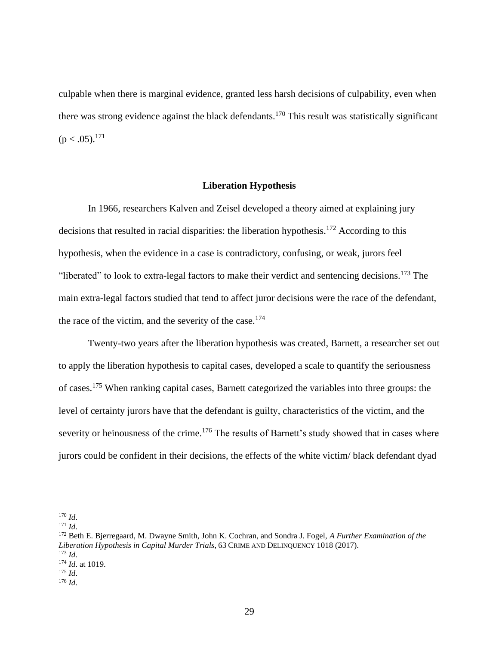culpable when there is marginal evidence, granted less harsh decisions of culpability, even when there was strong evidence against the black defendants.<sup>170</sup> This result was statistically significant  $(p < .05).^{171}$ 

#### **Liberation Hypothesis**

<span id="page-29-0"></span>In 1966, researchers Kalven and Zeisel developed a theory aimed at explaining jury decisions that resulted in racial disparities: the liberation hypothesis.<sup>172</sup> According to this hypothesis, when the evidence in a case is contradictory, confusing, or weak, jurors feel "liberated" to look to extra-legal factors to make their verdict and sentencing decisions.<sup>173</sup> The main extra-legal factors studied that tend to affect juror decisions were the race of the defendant, the race of the victim, and the severity of the case.<sup>174</sup>

Twenty-two years after the liberation hypothesis was created, Barnett, a researcher set out to apply the liberation hypothesis to capital cases, developed a scale to quantify the seriousness of cases.<sup>175</sup> When ranking capital cases, Barnett categorized the variables into three groups: the level of certainty jurors have that the defendant is guilty, characteristics of the victim, and the severity or heinousness of the crime.<sup>176</sup> The results of Barnett's study showed that in cases where jurors could be confident in their decisions, the effects of the white victim/ black defendant dyad

<sup>170</sup> *Id*.

<sup>171</sup> *Id*.

<sup>172</sup> Beth E. Bjerregaard, M. Dwayne Smith, John K. Cochran, and Sondra J. Fogel, *A Further Examination of the Liberation Hypothesis in Capital Murder Trials*, 63 CRIME AND DELINQUENCY 1018 (2017).  $173$  *Id.* <sup>174</sup> *Id*. at 1019.

<sup>175</sup> *Id*.

<sup>176</sup> *Id*.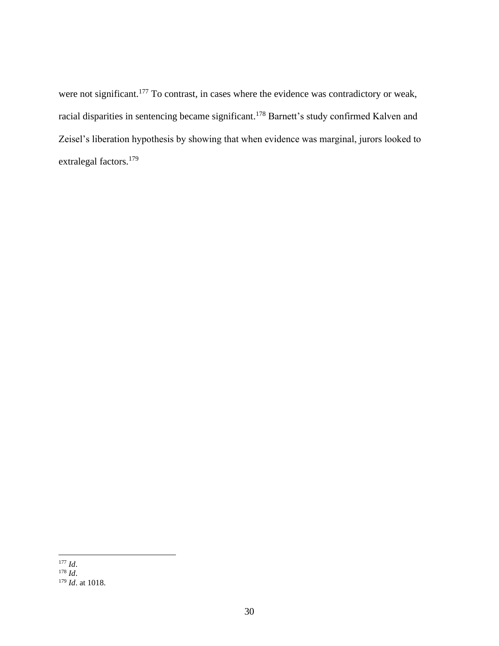were not significant.<sup>177</sup> To contrast, in cases where the evidence was contradictory or weak, racial disparities in sentencing became significant.<sup>178</sup> Barnett's study confirmed Kalven and Zeisel's liberation hypothesis by showing that when evidence was marginal, jurors looked to extralegal factors.<sup>179</sup>

<sup>177</sup> *Id*. <sup>178</sup> *Id*. <sup>179</sup> *Id*. at 1018.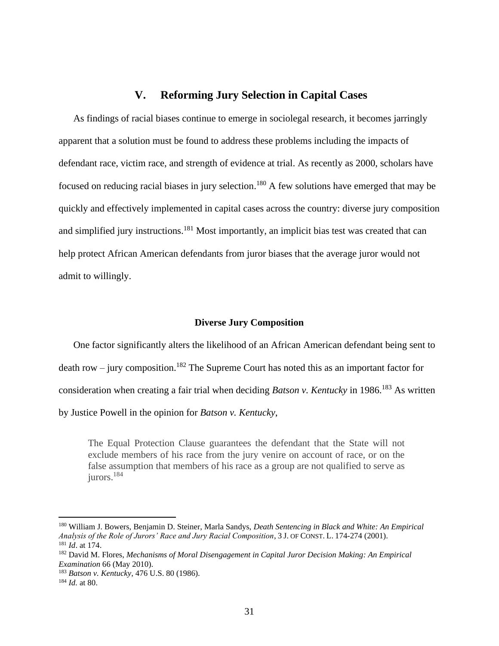# **V. Reforming Jury Selection in Capital Cases**

<span id="page-31-0"></span>As findings of racial biases continue to emerge in sociolegal research, it becomes jarringly apparent that a solution must be found to address these problems including the impacts of defendant race, victim race, and strength of evidence at trial. As recently as 2000, scholars have focused on reducing racial biases in jury selection.<sup>180</sup> A few solutions have emerged that may be quickly and effectively implemented in capital cases across the country: diverse jury composition and simplified jury instructions.<sup>181</sup> Most importantly, an implicit bias test was created that can help protect African American defendants from juror biases that the average juror would not admit to willingly.

#### **Diverse Jury Composition**

<span id="page-31-1"></span>One factor significantly alters the likelihood of an African American defendant being sent to death row – jury composition.<sup>182</sup> The Supreme Court has noted this as an important factor for consideration when creating a fair trial when deciding *Batson v. Kentucky* in 1986.<sup>183</sup> As written by Justice Powell in the opinion for *Batson v. Kentucky*,

The Equal Protection Clause guarantees the defendant that the State will not exclude members of his race from the jury venire on account of race, or on the false assumption that members of his race as a group are not qualified to serve as iurors.<sup>184</sup>

<sup>180</sup> William J. Bowers, Benjamin D. Steiner, Marla Sandys, *Death Sentencing in Black and White: An Empirical Analysis of the Role of Jurors' Race and Jury Racial Composition*, 3 J. OF CONST. L. 174-274 (2001). <sup>181</sup> *Id*. at 174.

<sup>182</sup> David M. Flores, *Mechanisms of Moral Disengagement in Capital Juror Decision Making: An Empirical Examination* 66 (May 2010).

<sup>183</sup> *Batson v. Kentucky*, 476 U.S. 80 (1986).

<sup>184</sup> *Id.* at 80.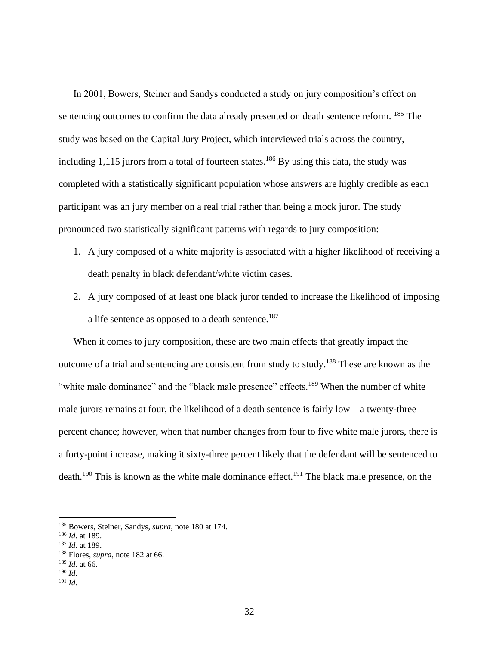In 2001, Bowers, Steiner and Sandys conducted a study on jury composition's effect on sentencing outcomes to confirm the data already presented on death sentence reform. <sup>185</sup> The study was based on the Capital Jury Project, which interviewed trials across the country, including 1,115 jurors from a total of fourteen states.<sup>186</sup> By using this data, the study was completed with a statistically significant population whose answers are highly credible as each participant was an jury member on a real trial rather than being a mock juror. The study pronounced two statistically significant patterns with regards to jury composition:

- 1. A jury composed of a white majority is associated with a higher likelihood of receiving a death penalty in black defendant/white victim cases.
- 2. A jury composed of at least one black juror tended to increase the likelihood of imposing a life sentence as opposed to a death sentence.<sup>187</sup>

When it comes to jury composition, these are two main effects that greatly impact the outcome of a trial and sentencing are consistent from study to study.<sup>188</sup> These are known as the "white male dominance" and the "black male presence" effects.<sup>189</sup> When the number of white male jurors remains at four, the likelihood of a death sentence is fairly  $low - a$  twenty-three percent chance; however, when that number changes from four to five white male jurors, there is a forty-point increase, making it sixty-three percent likely that the defendant will be sentenced to death.<sup>190</sup> This is known as the white male dominance effect.<sup>191</sup> The black male presence, on the

<sup>185</sup> Bowers, Steiner, Sandys, *supra*, note 180 at 174.

<sup>186</sup> *Id.* at 189.

<sup>187</sup> *Id*. at 189.

<sup>188</sup> Flores, *supra*, note 182 at 66.

<sup>189</sup> *Id.* at 66.

<sup>190</sup> *Id*.

<sup>191</sup> *Id*.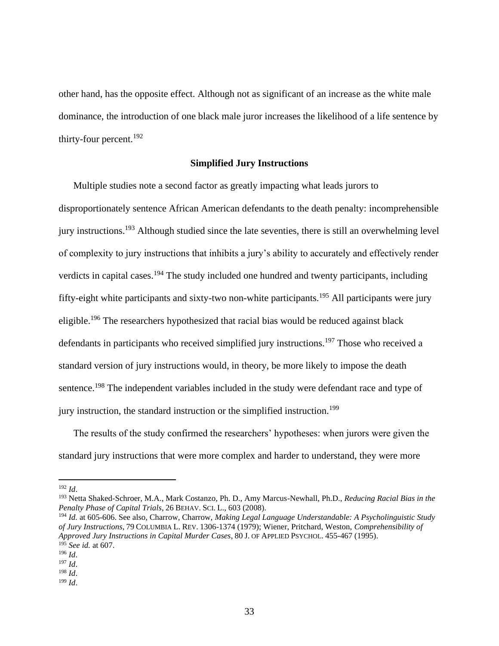other hand, has the opposite effect. Although not as significant of an increase as the white male dominance, the introduction of one black male juror increases the likelihood of a life sentence by thirty-four percent.<sup>192</sup>

#### **Simplified Jury Instructions**

<span id="page-33-0"></span>Multiple studies note a second factor as greatly impacting what leads jurors to disproportionately sentence African American defendants to the death penalty: incomprehensible jury instructions.<sup>193</sup> Although studied since the late seventies, there is still an overwhelming level of complexity to jury instructions that inhibits a jury's ability to accurately and effectively render verdicts in capital cases.<sup>194</sup> The study included one hundred and twenty participants, including fifty-eight white participants and sixty-two non-white participants.<sup>195</sup> All participants were jury eligible.<sup>196</sup> The researchers hypothesized that racial bias would be reduced against black defendants in participants who received simplified jury instructions.<sup>197</sup> Those who received a standard version of jury instructions would, in theory, be more likely to impose the death sentence.<sup>198</sup> The independent variables included in the study were defendant race and type of jury instruction, the standard instruction or the simplified instruction.<sup>199</sup>

The results of the study confirmed the researchers' hypotheses: when jurors were given the standard jury instructions that were more complex and harder to understand, they were more

<sup>192</sup> *Id*.

<sup>193</sup> Netta Shaked-Schroer, M.A., Mark Costanzo, Ph. D., Amy Marcus-Newhall, Ph.D., *Reducing Racial Bias in the Penalty Phase of Capital Trials*, 26 BEHAV. SCI. L., 603 (2008).

<sup>194</sup> *Id.* at 605-606. See also, Charrow, Charrow, *Making Legal Language Understandable: A Psycholinguistic Study of Jury Instructions*, 79 COLUMBIA L. REV. 1306-1374 (1979); Wiener, Pritchard, Weston, *Comprehensibility of Approved Jury Instructions in Capital Murder Cases*, 80 J. OF APPLIED PSYCHOL. 455-467 (1995). <sup>195</sup> *See id.* at 607.

<sup>196</sup> *Id*.

<sup>197</sup> *Id*.

<sup>198</sup> *Id*.

<sup>199</sup> *Id*.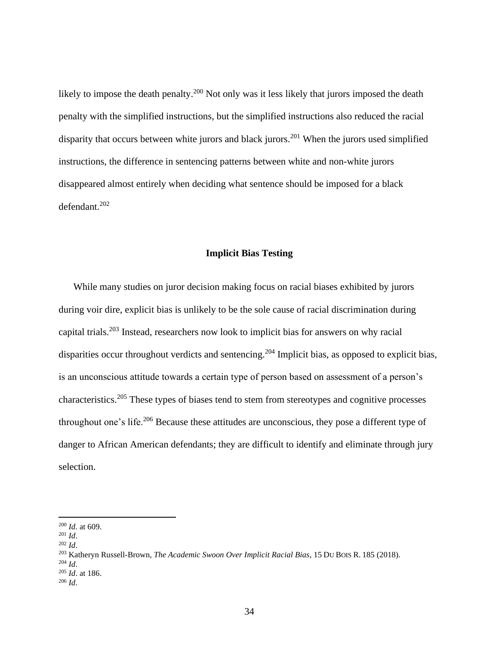likely to impose the death penalty.<sup>200</sup> Not only was it less likely that jurors imposed the death penalty with the simplified instructions, but the simplified instructions also reduced the racial disparity that occurs between white jurors and black jurors.<sup>201</sup> When the jurors used simplified instructions, the difference in sentencing patterns between white and non-white jurors disappeared almost entirely when deciding what sentence should be imposed for a black defendant.<sup>202</sup>

#### **Implicit Bias Testing**

<span id="page-34-0"></span>While many studies on juror decision making focus on racial biases exhibited by jurors during voir dire, explicit bias is unlikely to be the sole cause of racial discrimination during capital trials. <sup>203</sup> Instead, researchers now look to implicit bias for answers on why racial disparities occur throughout verdicts and sentencing.<sup>204</sup> Implicit bias, as opposed to explicit bias, is an unconscious attitude towards a certain type of person based on assessment of a person's characteristics.<sup>205</sup> These types of biases tend to stem from stereotypes and cognitive processes throughout one's life.<sup>206</sup> Because these attitudes are unconscious, they pose a different type of danger to African American defendants; they are difficult to identify and eliminate through jury selection.

<sup>200</sup> *Id.* at 609.

<sup>201</sup> *Id*.

<sup>202</sup> *Id*.

<sup>203</sup> Katheryn Russell-Brown, *The Academic Swoon Over Implicit Racial Bias*, 15 DU BOIS R. 185 (2018).

<sup>204</sup> *Id*.

<sup>205</sup> *Id*. at 186.

<sup>206</sup> *Id*.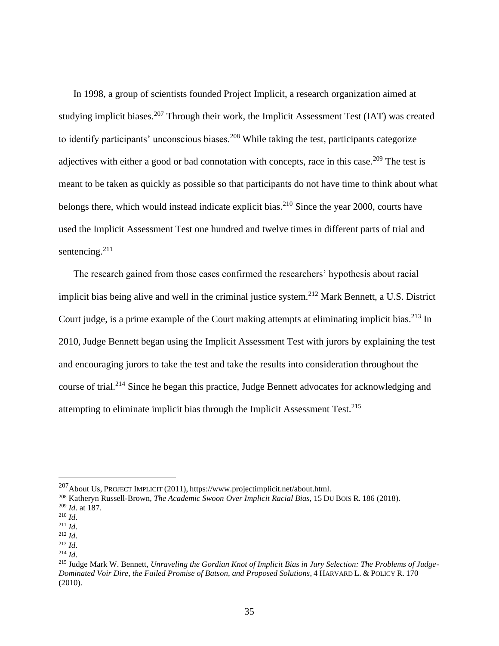In 1998, a group of scientists founded Project Implicit, a research organization aimed at studying implicit biases.<sup>207</sup> Through their work, the Implicit Assessment Test (IAT) was created to identify participants' unconscious biases.<sup>208</sup> While taking the test, participants categorize adjectives with either a good or bad connotation with concepts, race in this case.<sup>209</sup> The test is meant to be taken as quickly as possible so that participants do not have time to think about what belongs there, which would instead indicate explicit bias.<sup>210</sup> Since the year 2000, courts have used the Implicit Assessment Test one hundred and twelve times in different parts of trial and sentencing.<sup>211</sup>

The research gained from those cases confirmed the researchers' hypothesis about racial implicit bias being alive and well in the criminal justice system.<sup>212</sup> Mark Bennett, a U.S. District Court judge, is a prime example of the Court making attempts at eliminating implicit bias.<sup>213</sup> In 2010, Judge Bennett began using the Implicit Assessment Test with jurors by explaining the test and encouraging jurors to take the test and take the results into consideration throughout the course of trial.<sup>214</sup> Since he began this practice, Judge Bennett advocates for acknowledging and attempting to eliminate implicit bias through the Implicit Assessment Test. $^{215}$ 

 $^{207}$ About Us, PROJECT IMPLICIT (2011), https://www.projectimplicit.net/about.html.

<sup>208</sup> Katheryn Russell-Brown, *The Academic Swoon Over Implicit Racial Bias*, 15 DU BOIS R. 186 (2018).

<sup>209</sup> *Id*. at 187.

<sup>210</sup> *Id*.

 $^{211}$  *Id.* <sup>212</sup> *Id*.

<sup>213</sup> *Id*.

<sup>214</sup> *Id*.

<sup>215</sup> Judge Mark W. Bennett, *Unraveling the Gordian Knot of Implicit Bias in Jury Selection: The Problems of Judge-Dominated Voir Dire, the Failed Promise of Batson, and Proposed Solutions*, 4 HARVARD L. & POLICY R. 170 (2010).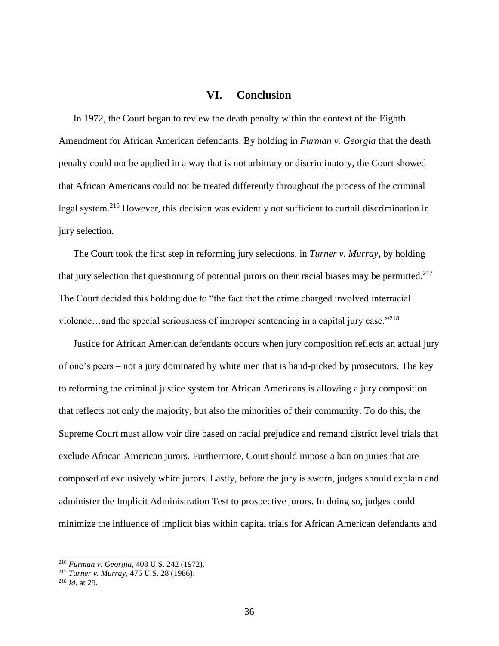# **VI. Conclusion**

<span id="page-36-0"></span>In 1972, the Court began to review the death penalty within the context of the Eighth Amendment for African American defendants. By holding in *Furman v. Georgia* that the death penalty could not be applied in a way that is not arbitrary or discriminatory, the Court showed that African Americans could not be treated differently throughout the process of the criminal legal system.<sup>216</sup> However, this decision was evidently not sufficient to curtail discrimination in jury selection.

The Court took the first step in reforming jury selections, in *Turner v. Murray*, by holding that jury selection that questioning of potential jurors on their racial biases may be permitted.<sup>217</sup> The Court decided this holding due to "the fact that the crime charged involved interracial violence...and the special seriousness of improper sentencing in a capital jury case."<sup>218</sup>

Justice for African American defendants occurs when jury composition reflects an actual jury of one's peers – not a jury dominated by white men that is hand-picked by prosecutors. The key to reforming the criminal justice system for African Americans is allowing a jury composition that reflects not only the majority, but also the minorities of their community. To do this, the Supreme Court must allow voir dire based on racial prejudice and remand district level trials that exclude African American jurors. Furthermore, Court should impose a ban on juries that are composed of exclusively white jurors. Lastly, before the jury is sworn, judges should explain and administer the Implicit Administration Test to prospective jurors. In doing so, judges could minimize the influence of implicit bias within capital trials for African American defendants and

<sup>216</sup> *Furman v. Georgia,* 408 U.S. 242 (1972).

<sup>217</sup> *Turner v. Murray*, 476 U.S. 28 (1986).

<sup>218</sup> *Id.* at 29.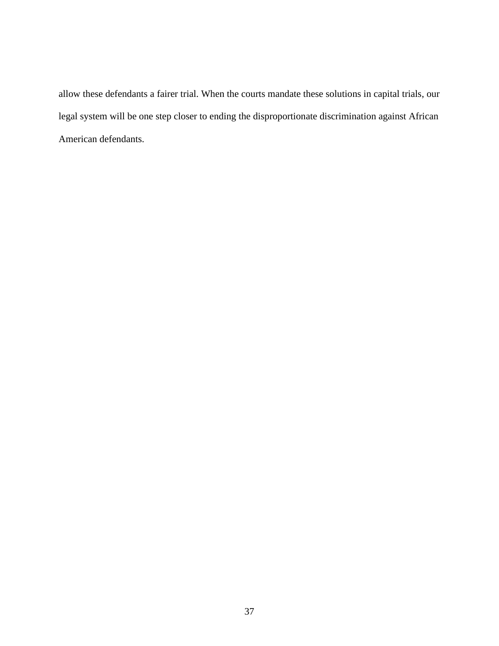allow these defendants a fairer trial. When the courts mandate these solutions in capital trials, our legal system will be one step closer to ending the disproportionate discrimination against African American defendants.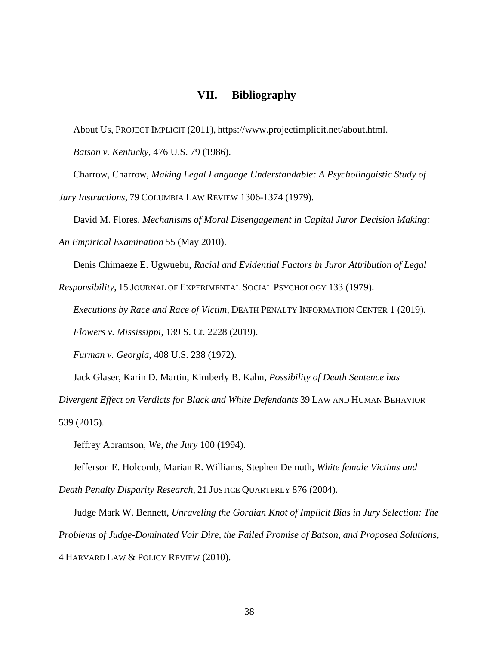# **VII. Bibliography**

<span id="page-38-0"></span>About Us, PROJECT IMPLICIT (2011), https://www.projectimplicit.net/about.html.

*Batson v. Kentucky*, 476 U.S. 79 (1986).

Charrow, Charrow, *Making Legal Language Understandable: A Psycholinguistic Study of* 

*Jury Instructions*, 79 COLUMBIA LAW REVIEW 1306-1374 (1979).

David M. Flores, *Mechanisms of Moral Disengagement in Capital Juror Decision Making:* 

*An Empirical Examination* 55 (May 2010).

Denis Chimaeze E. Ugwuebu, *Racial and Evidential Factors in Juror Attribution of Legal* 

*Responsibility*, 15 JOURNAL OF EXPERIMENTAL SOCIAL PSYCHOLOGY 133 (1979).

*Executions by Race and Race of Victim*, DEATH PENALTY INFORMATION CENTER 1 (2019).

*Flowers v. Mississippi*, 139 S. Ct. 2228 (2019).

*Furman v. Georgia*, 408 U.S. 238 (1972).

Jack Glaser, Karin D. Martin, Kimberly B. Kahn, *Possibility of Death Sentence has* 

*Divergent Effect on Verdicts for Black and White Defendants* 39 LAW AND HUMAN BEHAVIOR 539 (2015).

Jeffrey Abramson, *We, the Jury* 100 (1994).

Jefferson E. Holcomb, Marian R. Williams, Stephen Demuth, *White female Victims and Death Penalty Disparity Research*, 21 JUSTICE QUARTERLY 876 (2004).

Judge Mark W. Bennett, *Unraveling the Gordian Knot of Implicit Bias in Jury Selection: The Problems of Judge-Dominated Voir Dire, the Failed Promise of Batson, and Proposed Solutions*, 4 HARVARD LAW & POLICY REVIEW (2010).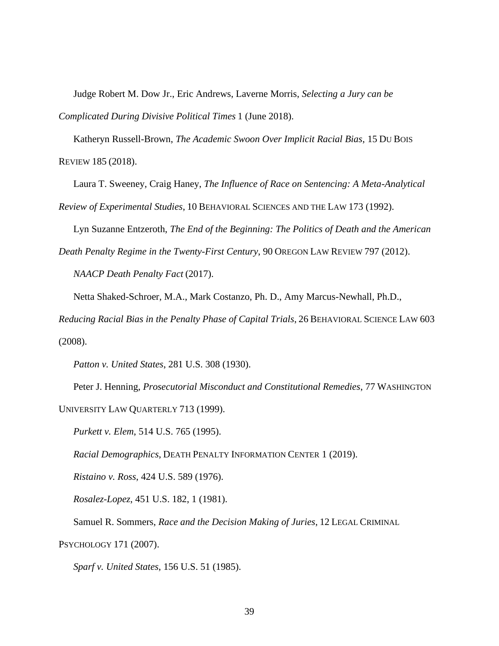Judge Robert M. Dow Jr., Eric Andrews, Laverne Morris, *Selecting a Jury can be Complicated During Divisive Political Times* 1 (June 2018).

Katheryn Russell-Brown, *The Academic Swoon Over Implicit Racial Bias*, 15 DU BOIS REVIEW 185 (2018).

Laura T. Sweeney, Craig Haney, *The Influence of Race on Sentencing: A Meta-Analytical Review of Experimental Studies*, 10 BEHAVIORAL SCIENCES AND THE LAW 173 (1992).

Lyn Suzanne Entzeroth, *The End of the Beginning: The Politics of Death and the American* 

*Death Penalty Regime in the Twenty-First Century*, 90 OREGON LAW REVIEW 797 (2012). *NAACP Death Penalty Fact* (2017).

Netta Shaked-Schroer, M.A., Mark Costanzo, Ph. D., Amy Marcus-Newhall, Ph.D.,

*Reducing Racial Bias in the Penalty Phase of Capital Trials*, 26 BEHAVIORAL SCIENCE LAW 603 (2008).

*Patton v. United States*, 281 U.S. 308 (1930).

Peter J. Henning, *Prosecutorial Misconduct and Constitutional Remedies*, 77 WASHINGTON

UNIVERSITY LAW QUARTERLY 713 (1999).

*Purkett v. Elem*, 514 U.S. 765 (1995).

*Racial Demographics*, DEATH PENALTY INFORMATION CENTER 1 (2019).

*Ristaino v. Ross*, 424 U.S. 589 (1976).

*Rosalez-Lopez*, 451 U.S. 182, 1 (1981).

Samuel R. Sommers, *Race and the Decision Making of Juries*, 12 LEGAL CRIMINAL

PSYCHOLOGY 171 (2007).

*Sparf v. United States*, 156 U.S. 51 (1985).